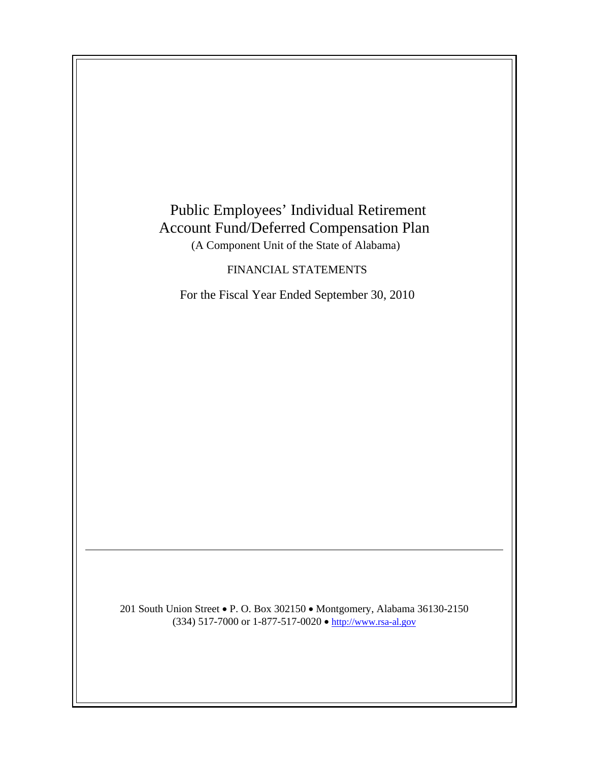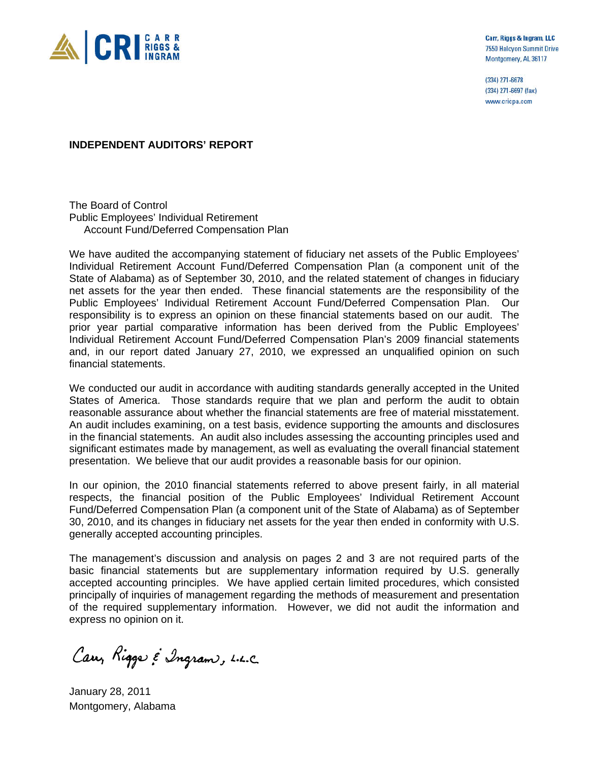

Carr, Riggs & Ingram, LLC 7550 Halcyon Summit Drive Montgomery, AL 36117

(334) 271-6678 (334) 271-6697 (fax) www.cricpa.com

**INDEPENDENT AUDITORS' REPORT** 

The Board of Control Public Employees' Individual Retirement Account Fund/Deferred Compensation Plan

We have audited the accompanying statement of fiduciary net assets of the Public Employees' Individual Retirement Account Fund/Deferred Compensation Plan (a component unit of the State of Alabama) as of September 30, 2010, and the related statement of changes in fiduciary net assets for the year then ended. These financial statements are the responsibility of the Public Employees' Individual Retirement Account Fund/Deferred Compensation Plan. Our responsibility is to express an opinion on these financial statements based on our audit. The prior year partial comparative information has been derived from the Public Employees' Individual Retirement Account Fund/Deferred Compensation Plan's 2009 financial statements and, in our report dated January 27, 2010, we expressed an unqualified opinion on such financial statements.

We conducted our audit in accordance with auditing standards generally accepted in the United States of America. Those standards require that we plan and perform the audit to obtain reasonable assurance about whether the financial statements are free of material misstatement. An audit includes examining, on a test basis, evidence supporting the amounts and disclosures in the financial statements. An audit also includes assessing the accounting principles used and significant estimates made by management, as well as evaluating the overall financial statement presentation. We believe that our audit provides a reasonable basis for our opinion.

In our opinion, the 2010 financial statements referred to above present fairly, in all material respects, the financial position of the Public Employees' Individual Retirement Account Fund/Deferred Compensation Plan (a component unit of the State of Alabama) as of September 30, 2010, and its changes in fiduciary net assets for the year then ended in conformity with U.S. generally accepted accounting principles.

The management's discussion and analysis on pages 2 and 3 are not required parts of the basic financial statements but are supplementary information required by U.S. generally accepted accounting principles. We have applied certain limited procedures, which consisted principally of inquiries of management regarding the methods of measurement and presentation of the required supplementary information. However, we did not audit the information and express no opinion on it.

Car, Rigge & Ingram, L.L.C.

January 28, 2011 Montgomery, Alabama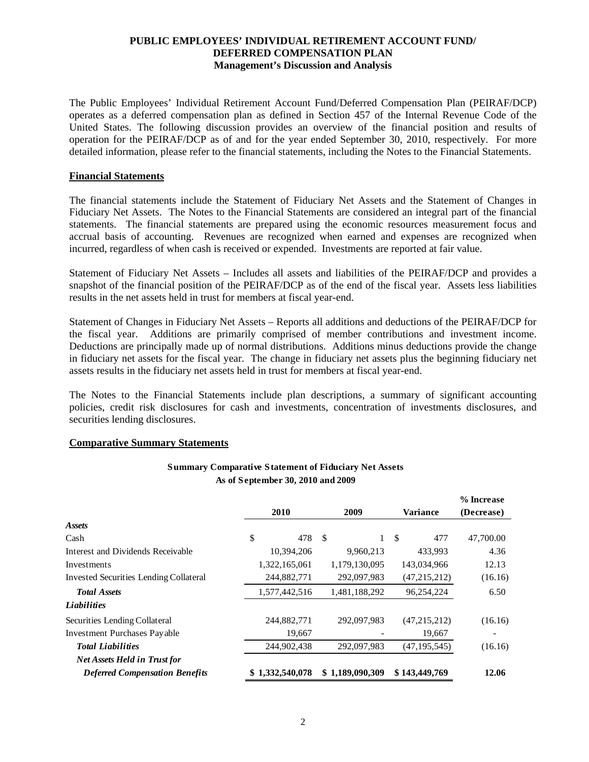## **PUBLIC EMPLOYEES' INDIVIDUAL RETIREMENT ACCOUNT FUND/ DEFERRED COMPENSATION PLAN Management's Discussion and Analysis**

The Public Employees' Individual Retirement Account Fund/Deferred Compensation Plan (PEIRAF/DCP) operates as a deferred compensation plan as defined in Section 457 of the Internal Revenue Code of the United States. The following discussion provides an overview of the financial position and results of operation for the PEIRAF/DCP as of and for the year ended September 30, 2010, respectively. For more detailed information, please refer to the financial statements, including the Notes to the Financial Statements.

#### **Financial Statements**

The financial statements include the Statement of Fiduciary Net Assets and the Statement of Changes in Fiduciary Net Assets. The Notes to the Financial Statements are considered an integral part of the financial statements. The financial statements are prepared using the economic resources measurement focus and accrual basis of accounting. Revenues are recognized when earned and expenses are recognized when incurred, regardless of when cash is received or expended. Investments are reported at fair value.

Statement of Fiduciary Net Assets – Includes all assets and liabilities of the PEIRAF/DCP and provides a snapshot of the financial position of the PEIRAF/DCP as of the end of the fiscal year. Assets less liabilities results in the net assets held in trust for members at fiscal year-end.

Statement of Changes in Fiduciary Net Assets – Reports all additions and deductions of the PEIRAF/DCP for the fiscal year. Additions are primarily comprised of member contributions and investment income. Deductions are principally made up of normal distributions. Additions minus deductions provide the change in fiduciary net assets for the fiscal year. The change in fiduciary net assets plus the beginning fiduciary net assets results in the fiduciary net assets held in trust for members at fiscal year-end.

The Notes to the Financial Statements include plan descriptions, a summary of significant accounting policies, credit risk disclosures for cash and investments, concentration of investments disclosures, and securities lending disclosures.

#### **Comparative Summary Statements**

## **Summary Comparative Statement of Fiduciary Net Assets As of September 30, 2010 and 2009**

|                                               |                 |                 |                 | % Increase |
|-----------------------------------------------|-----------------|-----------------|-----------------|------------|
|                                               | 2010            | 2009            | <b>Variance</b> | (Decrease) |
| <b>Assets</b>                                 |                 |                 |                 |            |
| Cash                                          | \$<br>478       | <sup>\$</sup>   | \$<br>477       | 47,700.00  |
| Interest and Dividends Receivable             | 10,394,206      | 9,960,213       | 433,993         | 4.36       |
| Investments                                   | 1,322,165,061   | 1,179,130,095   | 143,034,966     | 12.13      |
| <b>Invested Securities Lending Collateral</b> | 244,882,771     | 292,097,983     | (47,215,212)    | (16.16)    |
| <b>Total Assets</b>                           | 1,577,442,516   | 1,481,188,292   | 96.254.224      | 6.50       |
| <b>Liabilities</b>                            |                 |                 |                 |            |
| Securities Lending Collateral                 | 244,882,771     | 292,097,983     | (47,215,212)    | (16.16)    |
| <b>Investment Purchases Payable</b>           | 19,667          |                 | 19,667          |            |
| <b>Total Liabilities</b>                      | 244,902,438     | 292,097,983     | (47, 195, 545)  | (16.16)    |
| <b>Net Assets Held in Trust for</b>           |                 |                 |                 |            |
| <b>Deferred Compensation Benefits</b>         | \$1,332,540,078 | \$1,189,090,309 | \$143,449,769   | 12.06      |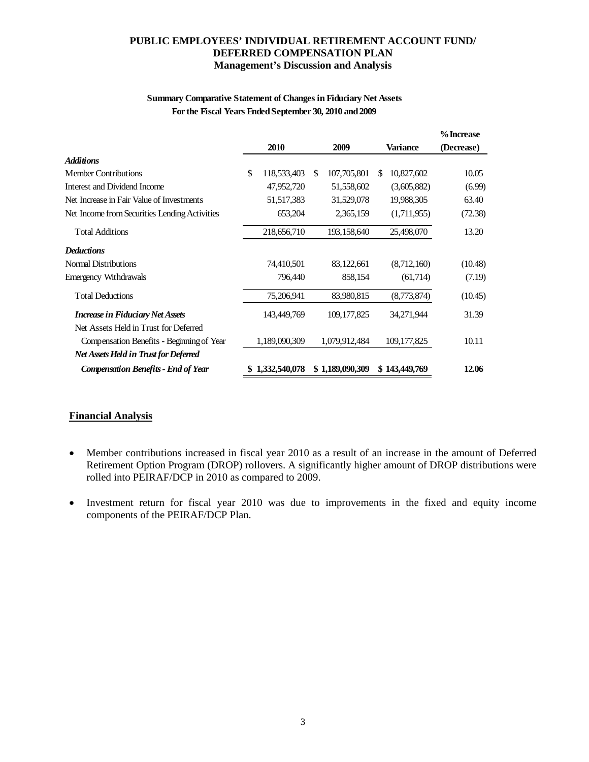# **PUBLIC EMPLOYEES' INDIVIDUAL RETIREMENT ACCOUNT FUND/ DEFERRED COMPENSATION PLAN Management's Discussion and Analysis**

## **Summary Comparative Statement of Changes in Fiduciary Net Assets For the Fiscal Years Ended September 30, 2010 and 2009**

|                                               |                   |                   |     |               | % Increase |
|-----------------------------------------------|-------------------|-------------------|-----|---------------|------------|
|                                               | 2010              | 2009              |     | Variance      | (Decrease) |
| <b>Additions</b>                              |                   |                   |     |               |            |
| <b>Member Contributions</b>                   | \$<br>118,533,403 | \$<br>107,705,801 | \$. | 10,827,602    | 10.05      |
| Interest and Dividend Income                  | 47,952,720        | 51,558,602        |     | (3,605,882)   | (6.99)     |
| Net Increase in Fair Value of Investments     | 51,517,383        | 31,529,078        |     | 19,988,305    | 63.40      |
| Net Income from Securities Lending Activities | 653,204           | 2,365,159         |     | (1,711,955)   | (72.38)    |
| <b>Total Additions</b>                        | 218,656,710       | 193,158,640       |     | 25,498,070    | 13.20      |
| <b>Deductions</b>                             |                   |                   |     |               |            |
| <b>Normal Distributions</b>                   | 74,410,501        | 83,122,661        |     | (8,712,160)   | (10.48)    |
| Emergency Withdrawals                         | 796,440           | 858,154           |     | (61,714)      | (7.19)     |
| <b>Total Deductions</b>                       | 75,206,941        | 83,980,815        |     | (8,773,874)   | (10.45)    |
| <b>Increase in Fiduciary Net Assets</b>       | 143,449,769       | 109, 177, 825     |     | 34,271,944    | 31.39      |
| Net Assets Held in Trust for Deferred         |                   |                   |     |               |            |
| Compensation Benefits - Beginning of Year     | 1,189,090,309     | 1,079,912,484     |     | 109, 177, 825 | 10.11      |
| Net Assets Held in Trust for Deferred         |                   |                   |     |               |            |
| <b>Compensation Benefits - End of Year</b>    | 1,332,540,078     | \$1,189,090,309   |     | \$143,449,769 | 12.06      |

# **Financial Analysis**

- Member contributions increased in fiscal year 2010 as a result of an increase in the amount of Deferred Retirement Option Program (DROP) rollovers. A significantly higher amount of DROP distributions were rolled into PEIRAF/DCP in 2010 as compared to 2009.
- Investment return for fiscal year 2010 was due to improvements in the fixed and equity income components of the PEIRAF/DCP Plan.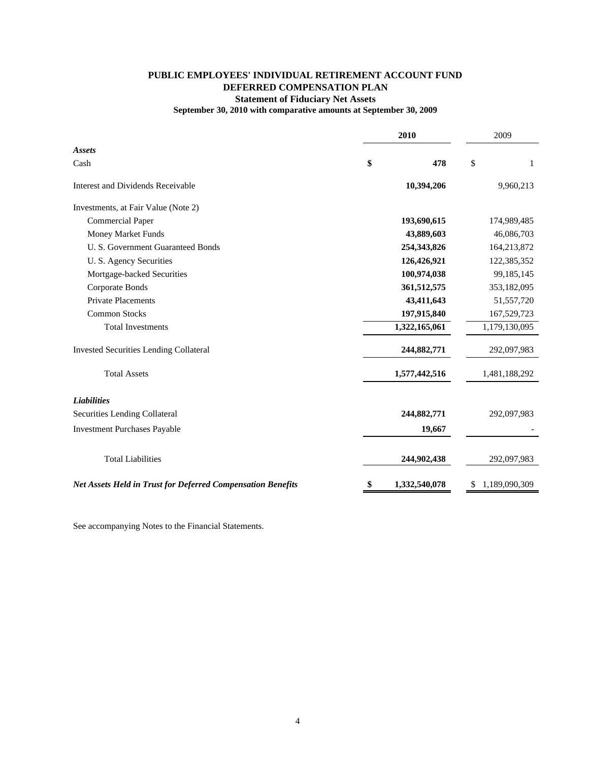# **PUBLIC EMPLOYEES' INDIVIDUAL RETIREMENT ACCOUNT FUND DEFERRED COMPENSATION PLAN Statement of Fiduciary Net Assets**

## **September 30, 2010 with comparative amounts at September 30, 2009**

|                                                                    | 2010 |               | 2009 |               |  |
|--------------------------------------------------------------------|------|---------------|------|---------------|--|
| <b>Assets</b>                                                      |      |               |      |               |  |
| Cash                                                               | \$   | 478           | \$   | 1             |  |
| <b>Interest and Dividends Receivable</b>                           |      | 10,394,206    |      | 9,960,213     |  |
| Investments, at Fair Value (Note 2)                                |      |               |      |               |  |
| <b>Commercial Paper</b>                                            |      | 193,690,615   |      | 174,989,485   |  |
| Money Market Funds                                                 |      | 43,889,603    |      | 46,086,703    |  |
| U. S. Government Guaranteed Bonds                                  |      | 254,343,826   |      | 164,213,872   |  |
| U. S. Agency Securities                                            |      | 126,426,921   |      | 122,385,352   |  |
| Mortgage-backed Securities                                         |      | 100,974,038   |      | 99,185,145    |  |
| Corporate Bonds                                                    |      | 361,512,575   |      | 353,182,095   |  |
| <b>Private Placements</b>                                          |      | 43,411,643    |      | 51,557,720    |  |
| <b>Common Stocks</b>                                               |      | 197,915,840   |      | 167,529,723   |  |
| <b>Total Investments</b>                                           |      | 1,322,165,061 |      | 1,179,130,095 |  |
| <b>Invested Securities Lending Collateral</b>                      |      | 244,882,771   |      | 292,097,983   |  |
| <b>Total Assets</b>                                                |      | 1,577,442,516 |      | 1,481,188,292 |  |
| <b>Liabilities</b>                                                 |      |               |      |               |  |
| Securities Lending Collateral                                      |      | 244,882,771   |      | 292,097,983   |  |
| <b>Investment Purchases Payable</b>                                |      | 19,667        |      |               |  |
| <b>Total Liabilities</b>                                           |      | 244,902,438   |      | 292,097,983   |  |
| <b>Net Assets Held in Trust for Deferred Compensation Benefits</b> | \$   | 1,332,540,078 | \$   | 1,189,090,309 |  |

See accompanying Notes to the Financial Statements.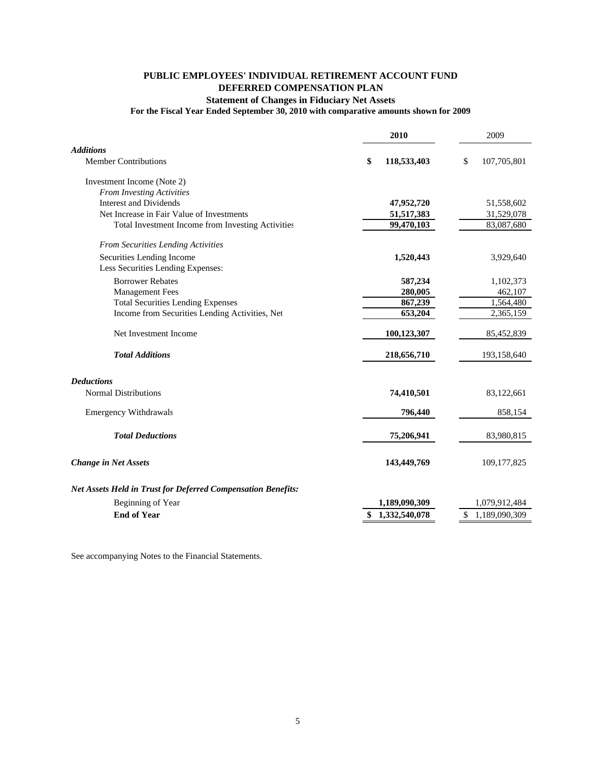# **PUBLIC EMPLOYEES' INDIVIDUAL RETIREMENT ACCOUNT FUND DEFERRED COMPENSATION PLAN Statement of Changes in Fiduciary Net Assets**

## **For the Fiscal Year Ended September 30, 2010 with comparative amounts shown for 2009**

|                                                                     | 2010              | 2009              |
|---------------------------------------------------------------------|-------------------|-------------------|
| <b>Additions</b>                                                    |                   |                   |
| <b>Member Contributions</b>                                         | \$<br>118,533,403 | \$<br>107,705,801 |
| Investment Income (Note 2)                                          |                   |                   |
| <b>From Investing Activities</b>                                    |                   |                   |
| <b>Interest and Dividends</b>                                       | 47,952,720        | 51,558,602        |
| Net Increase in Fair Value of Investments                           | 51,517,383        | 31,529,078        |
| Total Investment Income from Investing Activities                   | 99,470,103        | 83,087,680        |
| From Securities Lending Activities                                  |                   |                   |
| Securities Lending Income                                           | 1,520,443         | 3,929,640         |
| Less Securities Lending Expenses:                                   |                   |                   |
| <b>Borrower Rebates</b>                                             | 587,234           | 1,102,373         |
| <b>Management Fees</b>                                              | 280,005           | 462,107           |
| <b>Total Securities Lending Expenses</b>                            | 867,239           | 1,564,480         |
| Income from Securities Lending Activities, Net                      | 653,204           | 2,365,159         |
| Net Investment Income                                               | 100,123,307       | 85,452,839        |
| <b>Total Additions</b>                                              | 218,656,710       | 193,158,640       |
| <b>Deductions</b>                                                   |                   |                   |
| <b>Normal Distributions</b>                                         | 74,410,501        | 83,122,661        |
| <b>Emergency Withdrawals</b>                                        | 796,440           | 858,154           |
| <b>Total Deductions</b>                                             | 75,206,941        | 83,980,815        |
|                                                                     |                   |                   |
| <b>Change in Net Assets</b>                                         | 143,449,769       | 109, 177, 825     |
| <b>Net Assets Held in Trust for Deferred Compensation Benefits:</b> |                   |                   |
| Beginning of Year                                                   | 1,189,090,309     | 1,079,912,484     |
| <b>End of Year</b>                                                  | \$1,332,540,078   | \$1,189,090,309   |

See accompanying Notes to the Financial Statements.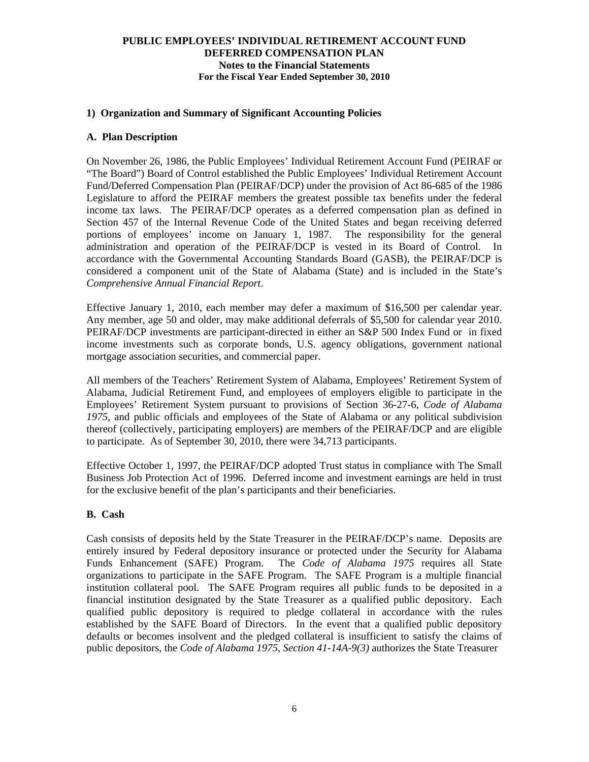# **1) Organization and Summary of Significant Accounting Policies**

#### **A. Plan Description**

On November 26, 1986, the Public Employees' Individual Retirement Account Fund (PEIRAF or "The Board") Board of Control established the Public Employees' Individual Retirement Account Fund/Deferred Compensation Plan (PEIRAF/DCP) under the provision of Act 86-685 of the 1986 Legislature to afford the PEIRAF members the greatest possible tax benefits under the federal income tax laws. The PEIRAF/DCP operates as a deferred compensation plan as defined in Section 457 of the Internal Revenue Code of the United States and began receiving deferred portions of employees' income on January 1, 1987. The responsibility for the general administration and operation of the PEIRAF/DCP is vested in its Board of Control. In accordance with the Governmental Accounting Standards Board (GASB), the PEIRAF/DCP is considered a component unit of the State of Alabama (State) and is included in the State's *Comprehensive Annual Financial Report*.

Effective January 1, 2010, each member may defer a maximum of \$16,500 per calendar year. Any member, age 50 and older, may make additional deferrals of \$5,500 for calendar year 2010. PEIRAF/DCP investments are participant-directed in either an S&P 500 Index Fund or in fixed income investments such as corporate bonds, U.S. agency obligations, government national mortgage association securities, and commercial paper.

All members of the Teachers' Retirement System of Alabama, Employees' Retirement System of Alabama, Judicial Retirement Fund, and employees of employers eligible to participate in the Employees' Retirement System pursuant to provisions of Section 36-27-6, *Code of Alabama 1975,* and public officials and employees of the State of Alabama or any political subdivision thereof (collectively, participating employers) are members of the PEIRAF/DCP and are eligible to participate. As of September 30, 2010, there were 34,713 participants.

Effective October 1, 1997, the PEIRAF/DCP adopted Trust status in compliance with The Small Business Job Protection Act of 1996. Deferred income and investment earnings are held in trust for the exclusive benefit of the plan's participants and their beneficiaries.

# **B. Cash**

Cash consists of deposits held by the State Treasurer in the PEIRAF/DCP's name. Deposits are entirely insured by Federal depository insurance or protected under the Security for Alabama Funds Enhancement (SAFE) Program. The *Code of Alabama 1975* requires all State organizations to participate in the SAFE Program. The SAFE Program is a multiple financial institution collateral pool. The SAFE Program requires all public funds to be deposited in a financial institution designated by the State Treasurer as a qualified public depository. Each qualified public depository is required to pledge collateral in accordance with the rules established by the SAFE Board of Directors. In the event that a qualified public depository defaults or becomes insolvent and the pledged collateral is insufficient to satisfy the claims of public depositors, the *Code of Alabama 1975, Section 41-14A-9(3)* authorizes the State Treasurer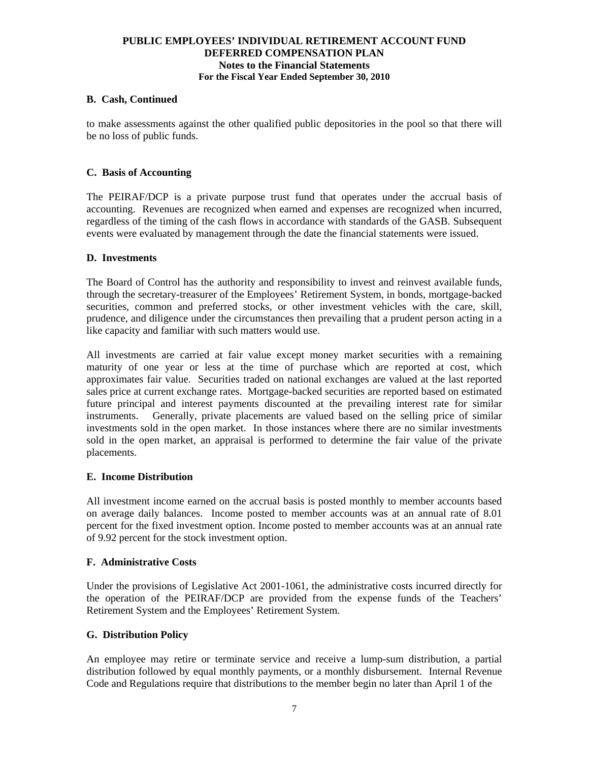## **B. Cash, Continued**

to make assessments against the other qualified public depositories in the pool so that there will be no loss of public funds.

# **C. Basis of Accounting**

 The PEIRAF/DCP is a private purpose trust fund that operates under the accrual basis of accounting. Revenues are recognized when earned and expenses are recognized when incurred, regardless of the timing of the cash flows in accordance with standards of the GASB. Subsequent events were evaluated by management through the date the financial statements were issued.

## **D. Investments**

The Board of Control has the authority and responsibility to invest and reinvest available funds, through the secretary-treasurer of the Employees' Retirement System, in bonds, mortgage-backed securities, common and preferred stocks, or other investment vehicles with the care, skill, prudence, and diligence under the circumstances then prevailing that a prudent person acting in a like capacity and familiar with such matters would use.

All investments are carried at fair value except money market securities with a remaining maturity of one year or less at the time of purchase which are reported at cost, which approximates fair value. Securities traded on national exchanges are valued at the last reported sales price at current exchange rates. Mortgage-backed securities are reported based on estimated future principal and interest payments discounted at the prevailing interest rate for similar instruments. Generally, private placements are valued based on the selling price of similar investments sold in the open market. In those instances where there are no similar investments sold in the open market, an appraisal is performed to determine the fair value of the private placements.

# **E. Income Distribution**

All investment income earned on the accrual basis is posted monthly to member accounts based on average daily balances. Income posted to member accounts was at an annual rate of 8.01 percent for the fixed investment option. Income posted to member accounts was at an annual rate of 9.92 percent for the stock investment option.

## **F. Administrative Costs**

Under the provisions of Legislative Act 2001-1061, the administrative costs incurred directly for the operation of the PEIRAF/DCP are provided from the expense funds of the Teachers' Retirement System and the Employees' Retirement System.

# **G. Distribution Policy**

An employee may retire or terminate service and receive a lump-sum distribution, a partial distribution followed by equal monthly payments, or a monthly disbursement. Internal Revenue Code and Regulations require that distributions to the member begin no later than April 1 of the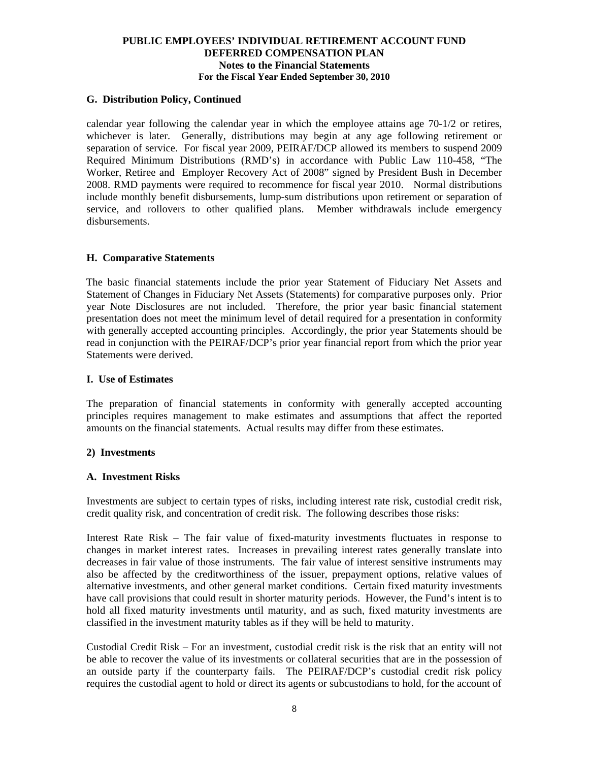# **G. Distribution Policy, Continued**

calendar year following the calendar year in which the employee attains age 70-1/2 or retires, whichever is later. Generally, distributions may begin at any age following retirement or separation of service. For fiscal year 2009, PEIRAF/DCP allowed its members to suspend 2009 Required Minimum Distributions (RMD's) in accordance with Public Law 110-458, "The Worker, Retiree and Employer Recovery Act of 2008" signed by President Bush in December 2008. RMD payments were required to recommence for fiscal year 2010. Normal distributions include monthly benefit disbursements, lump-sum distributions upon retirement or separation of service, and rollovers to other qualified plans. Member withdrawals include emergency disbursements.

## **H. Comparative Statements**

 The basic financial statements include the prior year Statement of Fiduciary Net Assets and Statement of Changes in Fiduciary Net Assets (Statements) for comparative purposes only. Prior year Note Disclosures are not included. Therefore, the prior year basic financial statement presentation does not meet the minimum level of detail required for a presentation in conformity with generally accepted accounting principles. Accordingly, the prior year Statements should be read in conjunction with the PEIRAF/DCP's prior year financial report from which the prior year Statements were derived.

## **I. Use of Estimates**

The preparation of financial statements in conformity with generally accepted accounting principles requires management to make estimates and assumptions that affect the reported amounts on the financial statements. Actual results may differ from these estimates.

# **2) Investments**

#### **A. Investment Risks**

Investments are subject to certain types of risks, including interest rate risk, custodial credit risk, credit quality risk, and concentration of credit risk. The following describes those risks:

Interest Rate Risk – The fair value of fixed-maturity investments fluctuates in response to changes in market interest rates. Increases in prevailing interest rates generally translate into decreases in fair value of those instruments. The fair value of interest sensitive instruments may also be affected by the creditworthiness of the issuer, prepayment options, relative values of alternative investments, and other general market conditions. Certain fixed maturity investments have call provisions that could result in shorter maturity periods. However, the Fund's intent is to hold all fixed maturity investments until maturity, and as such, fixed maturity investments are classified in the investment maturity tables as if they will be held to maturity.

Custodial Credit Risk – For an investment, custodial credit risk is the risk that an entity will not be able to recover the value of its investments or collateral securities that are in the possession of an outside party if the counterparty fails. The PEIRAF/DCP's custodial credit risk policy requires the custodial agent to hold or direct its agents or subcustodians to hold, for the account of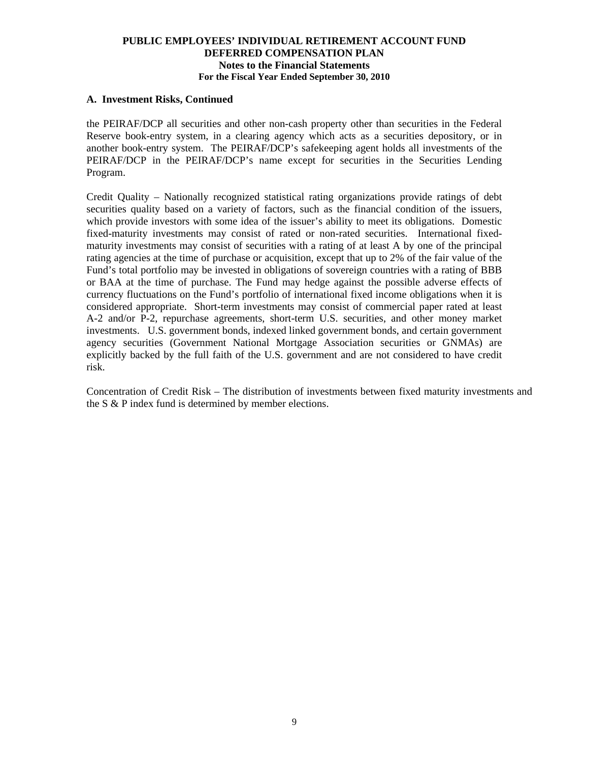## **A. Investment Risks, Continued**

the PEIRAF/DCP all securities and other non-cash property other than securities in the Federal Reserve book-entry system, in a clearing agency which acts as a securities depository, or in another book-entry system. The PEIRAF/DCP's safekeeping agent holds all investments of the PEIRAF/DCP in the PEIRAF/DCP's name except for securities in the Securities Lending Program.

Credit Quality – Nationally recognized statistical rating organizations provide ratings of debt securities quality based on a variety of factors, such as the financial condition of the issuers, which provide investors with some idea of the issuer's ability to meet its obligations. Domestic fixed-maturity investments may consist of rated or non-rated securities. International fixedmaturity investments may consist of securities with a rating of at least A by one of the principal rating agencies at the time of purchase or acquisition, except that up to 2% of the fair value of the Fund's total portfolio may be invested in obligations of sovereign countries with a rating of BBB or BAA at the time of purchase. The Fund may hedge against the possible adverse effects of currency fluctuations on the Fund's portfolio of international fixed income obligations when it is considered appropriate. Short-term investments may consist of commercial paper rated at least A-2 and/or P-2, repurchase agreements, short-term U.S. securities, and other money market investments. U.S. government bonds, indexed linked government bonds, and certain government agency securities (Government National Mortgage Association securities or GNMAs) are explicitly backed by the full faith of the U.S. government and are not considered to have credit risk.

Concentration of Credit Risk – The distribution of investments between fixed maturity investments and the S & P index fund is determined by member elections.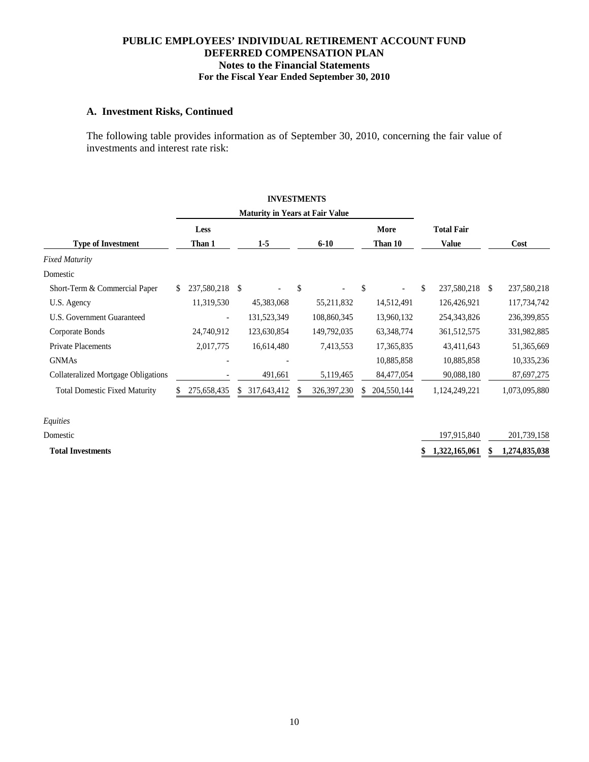# **A. Investment Risks, Continued**

The following table provides information as of September 30, 2010, concerning the fair value of investments and interest rate risk:

|                                            |    |                          |    | <b>INVESTMENTS</b>                     |              |               |               |              |                   |   |               |
|--------------------------------------------|----|--------------------------|----|----------------------------------------|--------------|---------------|---------------|--------------|-------------------|---|---------------|
|                                            |    |                          |    | <b>Maturity in Years at Fair Value</b> |              |               |               |              |                   |   |               |
|                                            |    | Less                     |    |                                        |              |               |               | More         | <b>Total Fair</b> |   |               |
| <b>Type of Investment</b>                  |    | Than 1                   |    | $1-5$                                  |              | $6 - 10$      |               | Than 10      | <b>Value</b>      |   | Cost          |
| <b>Fixed Maturity</b>                      |    |                          |    |                                        |              |               |               |              |                   |   |               |
| Domestic                                   |    |                          |    |                                        |              |               |               |              |                   |   |               |
| Short-Term & Commercial Paper              | S. | 237,580,218              | \$ |                                        | $\mathbb{S}$ |               | $\mathcal{S}$ |              | \$<br>237,580,218 | S | 237,580,218   |
| U.S. Agency                                |    | 11,319,530               |    | 45,383,068                             |              | 55,211,832    |               | 14,512,491   | 126,426,921       |   | 117,734,742   |
| U.S. Government Guaranteed                 |    | $\overline{\phantom{a}}$ |    | 131,523,349                            |              | 108,860,345   |               | 13,960,132   | 254,343,826       |   | 236,399,855   |
| Corporate Bonds                            |    | 24,740,912               |    | 123,630,854                            |              | 149,792,035   |               | 63, 348, 774 | 361,512,575       |   | 331,982,885   |
| <b>Private Placements</b>                  |    | 2,017,775                |    | 16,614,480                             |              | 7,413,553     |               | 17,365,835   | 43,411,643        |   | 51,365,669    |
| <b>GNMAs</b>                               |    |                          |    |                                        |              |               |               | 10,885,858   | 10,885,858        |   | 10,335,236    |
| <b>Collateralized Mortgage Obligations</b> |    |                          |    | 491,661                                |              | 5,119,465     |               | 84,477,054   | 90,088,180        |   | 87,697,275    |
| <b>Total Domestic Fixed Maturity</b>       | S. | 275,658,435              | S. | 317,643,412                            |              | 326, 397, 230 | S.            | 204,550,144  | 1,124,249,221     |   | 1,073,095,880 |
| Equities                                   |    |                          |    |                                        |              |               |               |              |                   |   |               |
| Domestic                                   |    |                          |    |                                        |              |               |               |              | 197,915,840       |   | 201,739,158   |

 **Total Investments \$ 1,274,835,038 1,322,165,061 \$**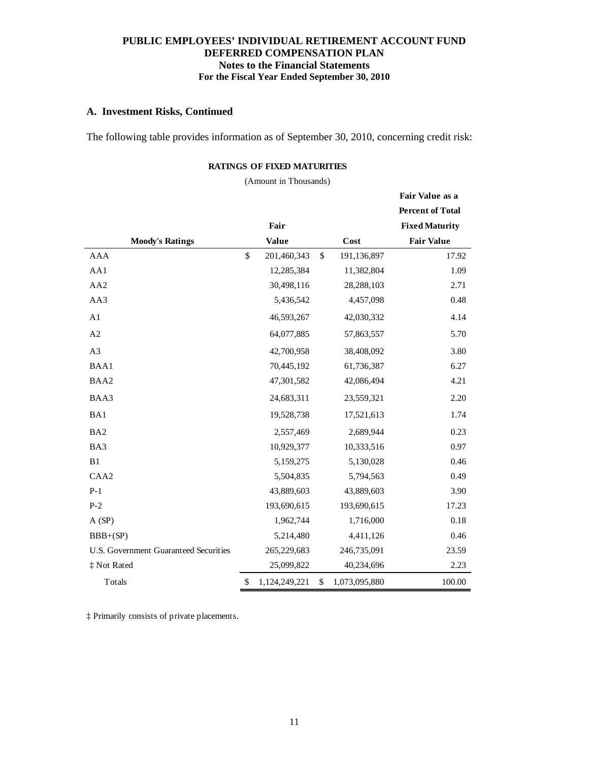## **A. Investment Risks, Continued**

The following table provides information as of September 30, 2010, concerning credit risk:

## **RATINGS OF FIXED MATURITIES**

(Amount in Thousands)

|                                              |                     |                     | Fair Value as a         |
|----------------------------------------------|---------------------|---------------------|-------------------------|
|                                              |                     |                     | <b>Percent of Total</b> |
|                                              | Fair                |                     | <b>Fixed Maturity</b>   |
| <b>Moody's Ratings</b>                       | <b>Value</b>        | Cost                | <b>Fair Value</b>       |
| <b>AAA</b>                                   | \$<br>201,460,343   | \$<br>191,136,897   | 17.92                   |
| AA1                                          | 12,285,384          | 11,382,804          | 1.09                    |
| AA2                                          | 30,498,116          | 28,288,103          | 2.71                    |
| AA3                                          | 5,436,542           | 4,457,098           | 0.48                    |
| A1                                           | 46,593,267          | 42,030,332          | 4.14                    |
| A2                                           | 64,077,885          | 57,863,557          | 5.70                    |
| A3                                           | 42,700,958          | 38,408,092          | 3.80                    |
| BAA1                                         | 70,445,192          | 61,736,387          | 6.27                    |
| BAA2                                         | 47,301,582          | 42,086,494          | 4.21                    |
| BAA3                                         | 24,683,311          | 23,559,321          | 2.20                    |
| BA1                                          | 19,528,738          | 17,521,613          | 1.74                    |
| BA <sub>2</sub>                              | 2,557,469           | 2,689,944           | 0.23                    |
| BA3                                          | 10,929,377          | 10,333,516          | 0.97                    |
| B1                                           | 5,159,275           | 5,130,028           | 0.46                    |
| CAA <sub>2</sub>                             | 5,504,835           | 5,794,563           | 0.49                    |
| $P-1$                                        | 43,889,603          | 43,889,603          | 3.90                    |
| $P-2$                                        | 193,690,615         | 193,690,615         | 17.23                   |
| A(SP)                                        | 1,962,744           | 1,716,000           | 0.18                    |
| $BBB+(SP)$                                   | 5,214,480           | 4,411,126           | 0.46                    |
| <b>U.S. Government Guaranteed Securities</b> | 265,229,683         | 246,735,091         | 23.59                   |
| ‡ Not Rated                                  | 25,099,822          | 40,234,696          | 2.23                    |
| Totals                                       | \$<br>1,124,249,221 | \$<br>1,073,095,880 | 100.00                  |

‡ Primarily consists of private placements.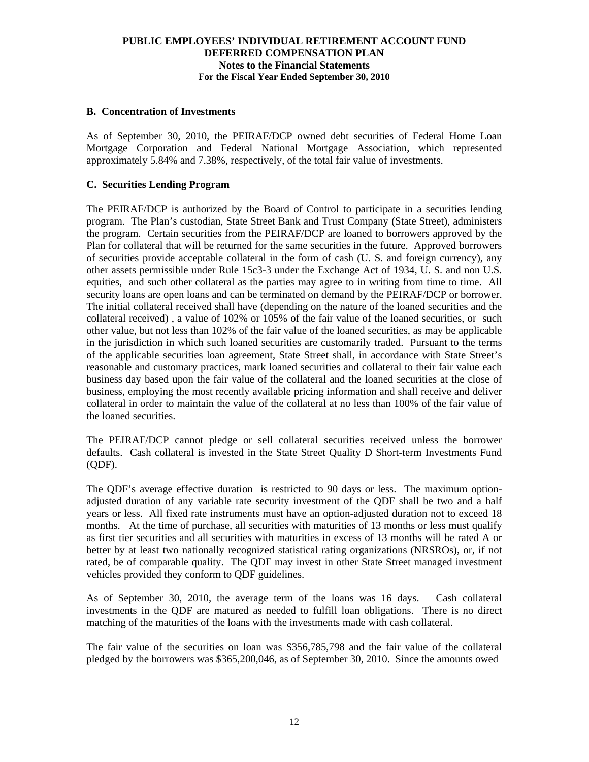## **B. Concentration of Investments**

As of September 30, 2010, the PEIRAF/DCP owned debt securities of Federal Home Loan Mortgage Corporation and Federal National Mortgage Association, which represented approximately 5.84% and 7.38%, respectively, of the total fair value of investments.

# **C. Securities Lending Program**

The PEIRAF/DCP is authorized by the Board of Control to participate in a securities lending program. The Plan's custodian, State Street Bank and Trust Company (State Street), administers the program. Certain securities from the PEIRAF/DCP are loaned to borrowers approved by the Plan for collateral that will be returned for the same securities in the future. Approved borrowers of securities provide acceptable collateral in the form of cash (U. S. and foreign currency), any other assets permissible under Rule 15c3-3 under the Exchange Act of 1934, U. S. and non U.S. equities, and such other collateral as the parties may agree to in writing from time to time. All security loans are open loans and can be terminated on demand by the PEIRAF/DCP or borrower. The initial collateral received shall have (depending on the nature of the loaned securities and the collateral received) , a value of 102% or 105% of the fair value of the loaned securities, or such other value, but not less than 102% of the fair value of the loaned securities, as may be applicable in the jurisdiction in which such loaned securities are customarily traded. Pursuant to the terms of the applicable securities loan agreement, State Street shall, in accordance with State Street's reasonable and customary practices, mark loaned securities and collateral to their fair value each business day based upon the fair value of the collateral and the loaned securities at the close of business, employing the most recently available pricing information and shall receive and deliver collateral in order to maintain the value of the collateral at no less than 100% of the fair value of the loaned securities.

The PEIRAF/DCP cannot pledge or sell collateral securities received unless the borrower defaults. Cash collateral is invested in the State Street Quality D Short-term Investments Fund (QDF).

The QDF's average effective duration is restricted to 90 days or less. The maximum optionadjusted duration of any variable rate security investment of the QDF shall be two and a half years or less. All fixed rate instruments must have an option-adjusted duration not to exceed 18 months. At the time of purchase, all securities with maturities of 13 months or less must qualify as first tier securities and all securities with maturities in excess of 13 months will be rated A or better by at least two nationally recognized statistical rating organizations (NRSROs), or, if not rated, be of comparable quality. The QDF may invest in other State Street managed investment vehicles provided they conform to QDF guidelines.

As of September 30, 2010, the average term of the loans was 16 days. Cash collateral investments in the QDF are matured as needed to fulfill loan obligations. There is no direct matching of the maturities of the loans with the investments made with cash collateral.

The fair value of the securities on loan was \$356,785,798 and the fair value of the collateral pledged by the borrowers was \$365,200,046, as of September 30, 2010. Since the amounts owed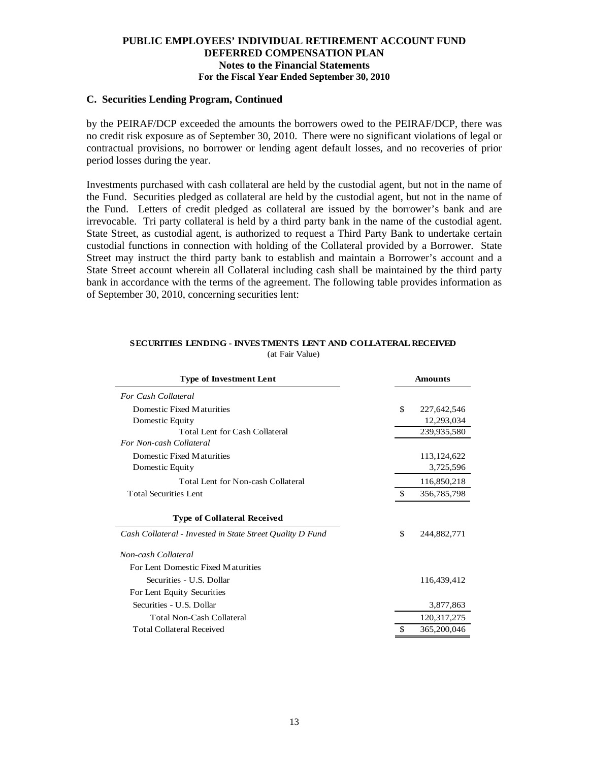# **C. Securities Lending Program, Continued**

by the PEIRAF/DCP exceeded the amounts the borrowers owed to the PEIRAF/DCP, there was no credit risk exposure as of September 30, 2010. There were no significant violations of legal or contractual provisions, no borrower or lending agent default losses, and no recoveries of prior period losses during the year.

Investments purchased with cash collateral are held by the custodial agent, but not in the name of the Fund. Securities pledged as collateral are held by the custodial agent, but not in the name of the Fund. Letters of credit pledged as collateral are issued by the borrower's bank and are irrevocable. Tri party collateral is held by a third party bank in the name of the custodial agent. State Street, as custodial agent, is authorized to request a Third Party Bank to undertake certain custodial functions in connection with holding of the Collateral provided by a Borrower. State Street may instruct the third party bank to establish and maintain a Borrower's account and a State Street account wherein all Collateral including cash shall be maintained by the third party bank in accordance with the terms of the agreement. The following table provides information as of September 30, 2010, concerning securities lent:

| <b>Type of Investment Lent</b>                            |    | <b>Amounts</b> |
|-----------------------------------------------------------|----|----------------|
| For Cash Collateral                                       |    |                |
| Domestic Fixed Maturities                                 | \$ | 227,642,546    |
| Domestic Equity                                           |    | 12,293,034     |
| Total Lent for Cash Collateral                            |    | 239,935,580    |
| For Non-cash Collateral                                   |    |                |
| Domestic Fixed Maturities                                 |    | 113,124,622    |
| Domestic Equity                                           |    | 3,725,596      |
| Total Lent for Non-cash Collateral                        |    | 116,850,218    |
| <b>Total Securities Lent</b>                              | -S | 356,785,798    |
| <b>Type of Collateral Received</b>                        |    |                |
| Cash Collateral - Invested in State Street Quality D Fund | \$ | 244,882,771    |
| Non-cash Collateral                                       |    |                |
| For Lent Domestic Fixed Maturities                        |    |                |
| Securities - U.S. Dollar                                  |    | 116,439,412    |
| For Lent Equity Securities                                |    |                |
| Securities - U.S. Dollar                                  |    | 3,877,863      |
| <b>Total Non-Cash Collateral</b>                          |    | 120, 317, 275  |
| <b>Total Collateral Received</b>                          | \$ | 365,200,046    |

#### **SECURITIES LENDING - INVESTMENTS LENT AND COLLATERAL RECEIVED** (at Fair Value)